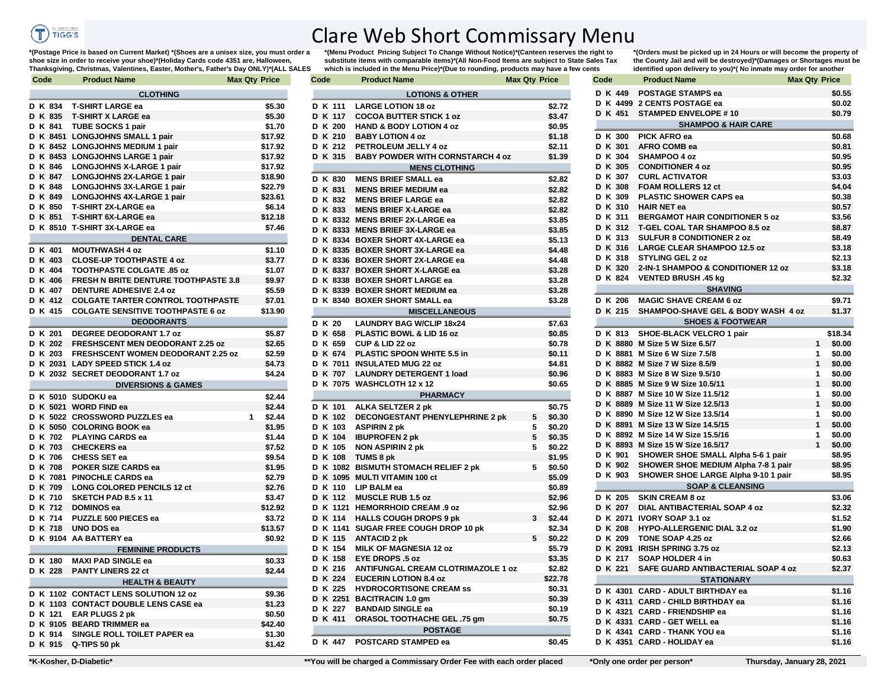

## Clare Web Short Commissary Menu

**\*(Postage Price is based on Current Market) \*(Shoes are a unisex size, you must order a shoe size in order to receive your shoe)\*(Holiday Cards code 4351 are, Halloween, Thanksgiving, Christmas, Valentines, Easter, Mother's, Father's Day ONLY)\*(ALL SALES** 

**\*(Menu Product Pricing Subject To Change Without Notice)\*(Canteen reserves the right to substitute items with comparable items)\*(All Non-Food Items are subject to State Sales Tax which is included in the Menu Price)\*(Due to rounding, products may have a few cents** 

| Code           | Product Name                                       | <b>Max Qty Price</b>   | Code               | <b>Product Name</b>                     | <b>Max Qty Price</b> |                  | Code           | <b>Product Name</b>                                                   | <b>Max Qty Price</b>      |
|----------------|----------------------------------------------------|------------------------|--------------------|-----------------------------------------|----------------------|------------------|----------------|-----------------------------------------------------------------------|---------------------------|
|                | <b>CLOTHING</b>                                    |                        |                    | <b>LOTIONS &amp; OTHER</b>              |                      |                  | D K 449        | <b>POSTAGE STAMPS ea</b>                                              | \$0                       |
| K 834          | <b>T-SHIRT LARGE ea</b>                            | \$5.30                 | D K 111            | <b>LARGE LOTION 18 oz</b>               |                      | \$2.72           |                | D K 4499 2 CENTS POSTAGE ea                                           | \$0                       |
| K 835          | <b>T-SHIRT X LARGE ea</b>                          | \$5.30                 | D K 117            | <b>COCOA BUTTER STICK 1 oz</b>          |                      | \$3.47           | D K 451        | <b>STAMPED ENVELOPE #10</b>                                           | \$0                       |
| K 841          | <b>TUBE SOCKS 1 pair</b>                           | \$1.70                 | D K 200            | <b>HAND &amp; BODY LOTION 4 oz</b>      |                      | \$0.95           |                | <b>SHAMPOO &amp; HAIR CARE</b>                                        |                           |
|                | K 8451 LONGJOHNS SMALL 1 pair                      | \$17.92                | D K 210            | <b>BABY LOTION 4 oz</b>                 |                      | \$1.18           | D K 300        | <b>PICK AFRO ea</b>                                                   | \$0                       |
|                | K 8452 LONGJOHNS MEDIUM 1 pair                     | \$17.92                | D K 212            | PETROLEUM JELLY 4 oz                    |                      | \$2.11           | D K 301        | AFRO COMB ea                                                          | \$0                       |
|                | K 8453 LONGJOHNS LARGE 1 pair                      | \$17.92                | D K 315            | <b>BABY POWDER WITH CORNSTARCH 4 oz</b> |                      | \$1.39           | D K 304        | SHAMPOO 4 oz                                                          | \$0                       |
| K 846          | <b>LONGJOHNS X-LARGE 1 pair</b>                    | \$17.92                |                    | <b>MENS CLOTHING</b>                    |                      |                  | D K 305        | <b>CONDITIONER 4 oz</b>                                               | \$0                       |
| K 847          | <b>LONGJOHNS 2X-LARGE 1 pair</b>                   | \$18.90                | D K 830            | <b>MENS BRIEF SMALL ea</b>              |                      | \$2.82           | D K 307        | <b>CURL ACTIVATOR</b>                                                 | \$3                       |
| K 848          | <b>LONGJOHNS 3X-LARGE 1 pair</b>                   | \$22.79                | D K 831            | <b>MENS BRIEF MEDIUM ea</b>             |                      | \$2.82           | D K 308        | <b>FOAM ROLLERS 12 ct</b>                                             | \$4                       |
| K 849          | LONGJOHNS 4X-LARGE 1 pair                          | \$23.61                | D K 832            | <b>MENS BRIEF LARGE ea</b>              |                      | \$2.82           | D K 309        | <b>PLASTIC SHOWER CAPS ea</b>                                         | \$0                       |
| K 850          | <b>T-SHIRT 2X-LARGE ea</b>                         | \$6.14                 | D K 833            | <b>MENS BRIEF X-LARGE ea</b>            |                      | \$2.82           | <b>D K 310</b> | <b>HAIR NET ea</b>                                                    | \$0                       |
| K 851          | <b>T-SHIRT 6X-LARGE ea</b>                         | \$12.18                |                    | D K 8332 MENS BRIEF 2X-LARGE ea         |                      | \$3.85           | D K 311        | <b>BERGAMOT HAIR CONDITIONER 5 oz</b>                                 | \$3                       |
|                | K 8510 T-SHIRT 3X-LARGE ea                         | \$7.46                 |                    | D K 8333 MENS BRIEF 3X-LARGE ea         |                      | \$3.85           |                | D K 312 T-GEL COAL TAR SHAMPOO 8.5 oz                                 | \$8                       |
|                | <b>DENTAL CARE</b>                                 |                        |                    | D K 8334 BOXER SHORT 4X-LARGE ea        |                      | \$5.13           | D K 313        | <b>SULFUR 8 CONDITIONER 2 oz</b>                                      | \$8                       |
| K 401          | <b>MOUTHWASH 4 oz</b>                              | \$1.10                 |                    | D K 8335 BOXER SHORT 3X-LARGE ea        |                      | \$4.48           |                | D K 316 LARGE CLEAR SHAMPOO 12.5 oz                                   | \$3                       |
| K 403          | <b>CLOSE-UP TOOTHPASTE 4 oz</b>                    | \$3.77                 |                    | D K 8336 BOXER SHORT 2X-LARGE ea        |                      | \$4.48           |                | D K 318 STYLING GEL 2 oz                                              | \$2                       |
| K 404          | <b>TOOTHPASTE COLGATE .85 oz</b>                   | \$1.07                 |                    | D K 8337 BOXER SHORT X-LARGE ea         |                      | \$3.28           | D K 320        | 2-IN-1 SHAMPOO & CONDITIONER 12 oz                                    | \$3                       |
| K 406          | <b>FRESH N BRITE DENTURE TOOTHPASTE 3.8</b>        | \$9.97                 |                    | D K 8338 BOXER SHORT LARGE ea           |                      | \$3.28           |                | D K 824 VENTED BRUSH .45 kg                                           | \$2                       |
| K 407          | <b>DENTURE ADHESIVE 2.4 oz</b>                     | \$5.59                 |                    | D K 8339 BOXER SHORT MEDIUM ea          |                      | \$3.28           |                | <b>SHAVING</b>                                                        |                           |
| K 412          | <b>COLGATE TARTER CONTROL TOOTHPASTE</b>           | \$7.01                 |                    | D K 8340 BOXER SHORT SMALL ea           |                      | \$3.28           | D K 206        | <b>MAGIC SHAVE CREAM 6 oz</b>                                         | \$9                       |
| K 415          | <b>COLGATE SENSITIVE TOOTHPASTE 6 oz</b>           | \$13.90                |                    | <b>MISCELLANEOUS</b>                    |                      |                  |                | D K 215 SHAMPOO-SHAVE GEL & BODY WASH 4 oz                            | \$1                       |
|                | <b>DEODORANTS</b>                                  |                        | D K 20             | <b>LAUNDRY BAG W/CLIP 18x24</b>         |                      | \$7.63           |                | <b>SHOES &amp; FOOTWEAR</b>                                           |                           |
| K 201          | <b>DEGREE DEODORANT 1.7 oz</b>                     | \$5.87                 | D K 658            | PLASTIC BOWL & LID 16 oz                |                      | \$0.85           |                | D K 813 SHOE-BLACK VELCRO 1 pair                                      | \$18                      |
| K 202          | <b>FRESHSCENT MEN DEODORANT 2.25 oz</b>            | \$2.65                 | D K 659            | CUP & LID 22 oz                         |                      | \$0.78           |                | D K 8880 M Size 5 W Size 6.5/7                                        | $1$ \$0                   |
| K 203          | <b>FRESHSCENT WOMEN DEODORANT 2.25 oz</b>          | \$2.59                 | D K 674            | PLASTIC SPOON WHITE 5.5 in              |                      | \$0.11           |                | D K 8881 M Size 6 W Size 7.5/8                                        | \$0<br>$\mathbf 1$        |
|                | K 2031 LADY SPEED STICK 1.4 oz                     | \$4.73                 |                    | D K 7011 INSULATED MUG 22 oz            |                      | \$4.81           |                | D K 8882 M Size 7 W Size 8.5/9                                        | \$0                       |
|                | K 2032 SECRET DEODORANT 1.7 oz                     | \$4.24                 | <b>D K 707</b>     | <b>LAUNDRY DETERGENT 1 load</b>         |                      | \$0.96           |                | D K 8883 M Size 8 W Size 9.5/10                                       | \$0<br>$\mathbf 1$        |
|                | <b>DIVERSIONS &amp; GAMES</b>                      |                        |                    | D K 7075 WASHCLOTH 12 x 12              |                      | \$0.65           |                | D K 8885 M Size 9 W Size 10.5/11<br>D K 8887 M Size 10 W Size 11.5/12 | \$0<br>\$0<br>$\mathbf 1$ |
|                | K 5010 SUDOKU ea                                   | \$2.44                 |                    | <b>PHARMACY</b>                         |                      |                  |                | D K 8889 M Size 11 W Size 12.5/13                                     | \$0<br>$\mathbf{1}$       |
|                | K 5021 WORD FIND ea                                | \$2.44                 | D K 101            | <b>ALKA SELTZER 2 pk</b>                |                      | \$0.75           |                | D K 8890 M Size 12 W Size 13.5/14                                     | \$0<br>$\mathbf{1}$       |
|                | K 5022 CROSSWORD PUZZLES ea                        | \$2.44<br>$\mathbf{1}$ | D K 102            | <b>DECONGESTANT PHENYLEPHRINE 2 pk</b>  | 5                    | \$0.30           |                | D K 8891 M Size 13 W Size 14.5/15                                     | \$0<br>$\mathbf{1}$       |
|                | K 5050 COLORING BOOK ea<br><b>PLAYING CARDS ea</b> | \$1.95                 | D K 103            | <b>ASPIRIN 2 pk</b>                     | 5<br>5               | \$0.20           |                | D K 8892 M Size 14 W Size 15.5/16                                     | \$0<br>$\mathbf 1$        |
| K 702<br>K 703 |                                                    | \$1.44                 | D K 104<br>D K 105 | <b>IBUPROFEN 2 pk</b>                   | 5                    | \$0.35           |                | D K 8893 M Size 15 W Size 16.5/17                                     | \$0<br>$\mathbf 1$        |
| K 706          | <b>CHECKERS</b> ea<br><b>CHESS SET ea</b>          | \$7.52<br>\$9.54       | D K 108            | <b>NON ASPIRIN 2 pk</b><br>TUMS 8 pk    |                      | \$0.22<br>\$1.95 |                | D K 901 SHOWER SHOE SMALL Alpha 5-6 1 pair                            | \$8                       |
| K 708          | POKER SIZE CARDS ea                                | \$1.95                 |                    | D K 1082 BISMUTH STOMACH RELIEF 2 pk    | 5                    | \$0.50           |                | D K 902 SHOWER SHOE MEDIUM Alpha 7-8 1 pair                           | \$8                       |
|                | K 7081 PINOCHLE CARDS ea                           | \$2.79                 |                    | D K 1095 MULTI VITAMIN 100 ct           |                      | \$5.09           |                | D K 903 SHOWER SHOE LARGE Alpha 9-10 1 pair                           | \$8                       |
| K 709          | <b>LONG COLORED PENCILS 12 ct</b>                  | \$2.76                 | <b>D K 110</b>     | LIP BALM ea                             |                      | \$0.89           |                | <b>SOAP &amp; CLEANSING</b>                                           |                           |
| K 710          | SKETCH PAD 8.5 x 11                                | \$3.47                 | D K 112            | <b>MUSCLE RUB 1.5 oz</b>                |                      | \$2.96           | D K 205        | <b>SKIN CREAM 8 oz</b>                                                | \$3                       |
| K 712          | <b>DOMINOS ea</b>                                  | \$12.92                |                    | D K 1121 HEMORRHOID CREAM .9 oz         |                      | \$2.96           | D K 207        | DIAL ANTIBACTERIAL SOAP 4 oz                                          | \$2                       |
| K 714          | <b>PUZZLE 500 PIECES ea</b>                        | \$3.72                 | D K 114            | <b>HALLS COUGH DROPS 9 pk</b>           | $3$ \$2.44           |                  |                | D K 2071 IVORY SOAP 3.1 oz                                            | \$1                       |
| K 718          | UNO DOS ea                                         | \$13.57                |                    | D K 1141 SUGAR FREE COUGH DROP 10 pk    |                      | \$2.34           | D K 208        | <b>HYPO-ALLERGENIC DIAL 3.2 oz</b>                                    | \$1                       |
|                | K 9104 AA BATTERY ea                               | \$0.92                 | D K 115            | <b>ANTACID 2 pk</b>                     | 5.                   | \$0.22           | D K 209        | TONE SOAP 4.25 oz                                                     | \$2                       |
|                | <b>FEMININE PRODUCTS</b>                           |                        | D K 154            | MILK OF MAGNESIA 12 oz                  |                      | \$5.79           |                | D K 2091 IRISH SPRING 3.75 oz                                         | \$2                       |
| K 180          | <b>MAXI PAD SINGLE ea</b>                          | \$0.33                 | D K 158            | <b>EYE DROPS .5 oz</b>                  |                      | \$3.35           | D K 217        | SOAP HOLDER 4 in                                                      | \$0                       |
| K 228          | <b>PANTY LINERS 22 ct</b>                          | \$2.44                 | D K 216            | ANTIFUNGAL CREAM CLOTRIMAZOLE 1 oz      |                      | \$2.82           | D K 221        | SAFE GUARD ANTIBACTERIAL SOAP 4 oz                                    | \$2                       |
|                | <b>HEALTH &amp; BEAUTY</b>                         |                        | D K 224            | <b>EUCERIN LOTION 8.4 oz</b>            |                      | \$22.78          |                | <b>STATIONARY</b>                                                     |                           |
|                | K 1102 CONTACT LENS SOLUTION 12 oz                 | \$9.36                 | D K 225            | <b>HYDROCORTISONE CREAM SS</b>          |                      | \$0.31           |                | D K 4301 CARD - ADULT BIRTHDAY ea                                     | \$1                       |
|                | K 1103 CONTACT DOUBLE LENS CASE ea                 | \$1.23                 |                    | D K 2251 BACITRACIN 1.0 gm              |                      | \$0.39           |                | D K 4311 CARD - CHILD BIRTHDAY ea                                     | \$1                       |
| K 121          | <b>EAR PLUGS 2 pk</b>                              | \$0.50                 | D K 227            | <b>BANDAID SINGLE ea</b>                |                      | \$0.19           |                | D K 4321 CARD - FRIENDSHIP ea                                         | \$1                       |
|                | K 9105 BEARD TRIMMER ea                            | \$42.40                | D K 411            | ORASOL TOOTHACHE GEL .75 gm             |                      | \$0.75           |                | D K 4331 CARD - GET WELL ea                                           | \$1                       |
| K 914          | SINGLE ROLL TOILET PAPER ea                        | \$1.30                 |                    | <b>POSTAGE</b>                          |                      |                  |                | D K 4341 CARD - THANK YOU ea                                          | \$1                       |
|                | K 915 Q-TIPS 50 pk                                 | \$1.42                 |                    | D K 447 POSTCARD STAMPED ea             |                      | \$0.45           |                | D K 4351 CARD - HOLIDAY ea                                            | \$1                       |
|                |                                                    |                        |                    |                                         |                      |                  |                |                                                                       |                           |

**\*(Orders must be picked up in 24 Hours or will become the property of the County Jail and will be destroyed)\*(Damages or Shortages must be identified upon delivery to you)\*( No inmate may order for another** 

| Code |                                |          | <b>Product Name</b>                   | <b>Max Qty Price</b> |              |         |  |  |  |  |
|------|--------------------------------|----------|---------------------------------------|----------------------|--------------|---------|--|--|--|--|
|      |                                | D K 449  | <b>POSTAGE STAMPS ea</b>              |                      |              | \$0.55  |  |  |  |  |
|      |                                |          | D K 4499 2 CENTS POSTAGE ea           |                      |              | \$0.02  |  |  |  |  |
|      |                                | D K 451  | <b>STAMPED ENVELOPE #10</b>           |                      |              | \$0.79  |  |  |  |  |
|      | <b>SHAMPOO &amp; HAIR CARE</b> |          |                                       |                      |              |         |  |  |  |  |
|      |                                | D K 300  | <b>PICK AFRO ea</b>                   |                      |              | \$0.68  |  |  |  |  |
|      |                                | D K 301  | <b>AFRO COMB ea</b>                   |                      |              | \$0.81  |  |  |  |  |
|      |                                | D K 304  | SHAMPOO 4 oz                          |                      |              | \$0.95  |  |  |  |  |
|      |                                | D K 305  | <b>CONDITIONER 4 oz</b>               |                      |              | \$0.95  |  |  |  |  |
|      |                                | D K 307  | <b>CURL ACTIVATOR</b>                 |                      |              | \$3.03  |  |  |  |  |
|      |                                | D K 308  | <b>FOAM ROLLERS 12 ct</b>             |                      |              | \$4.04  |  |  |  |  |
|      |                                | D K 309  | <b>PLASTIC SHOWER CAPS ea</b>         |                      |              | \$0.38  |  |  |  |  |
|      |                                | D K 310  | <b>HAIR NET ea</b>                    |                      |              | \$0.57  |  |  |  |  |
|      |                                | D K 311  | <b>BERGAMOT HAIR CONDITIONER 5 oz</b> |                      |              | \$3.56  |  |  |  |  |
|      |                                | D K 312  | T-GEL COAL TAR SHAMPOO 8.5 oz         |                      |              | \$8.87  |  |  |  |  |
|      |                                | D K 313  | <b>SULFUR 8 CONDITIONER 2 oz</b>      |                      |              | \$8.49  |  |  |  |  |
|      |                                | D K 316  | <b>LARGE CLEAR SHAMPOO 12.5 oz</b>    |                      |              | \$3.18  |  |  |  |  |
|      |                                | D K 318  | <b>STYLING GEL 2 oz</b>               |                      |              | \$2.13  |  |  |  |  |
|      |                                | D K 320  | 2-IN-1 SHAMPOO & CONDITIONER 12 oz    |                      |              | \$3.18  |  |  |  |  |
|      |                                | D K 824  | VENTED BRUSH .45 kg                   |                      |              | \$2.32  |  |  |  |  |
|      |                                |          | <b>SHAVING</b>                        |                      |              |         |  |  |  |  |
| D    |                                | K 206    | <b>MAGIC SHAVE CREAM 6 oz</b>         |                      |              | \$9.71  |  |  |  |  |
|      |                                | D K 215  | SHAMPOO-SHAVE GEL & BODY WASH 4 oz    |                      |              | \$1.37  |  |  |  |  |
|      |                                |          | <b>SHOES &amp; FOOTWEAR</b>           |                      |              |         |  |  |  |  |
| D    |                                | K 813    | SHOE-BLACK VELCRO 1 pair              |                      |              | \$18.34 |  |  |  |  |
|      |                                |          | D K 8880 M Size 5 W Size 6.5/7        |                      | 1            | \$0.00  |  |  |  |  |
|      |                                |          | D K 8881 M Size 6 W Size 7.5/8        |                      | 1            | \$0.00  |  |  |  |  |
|      |                                |          | D K 8882 M Size 7 W Size 8.5/9        |                      | $\mathbf{1}$ | \$0.00  |  |  |  |  |
|      |                                |          | D K 8883 M Size 8 W Size 9.5/10       |                      | 1            | \$0.00  |  |  |  |  |
|      |                                |          | D K 8885 M Size 9 W Size 10.5/11      |                      | 1            | \$0.00  |  |  |  |  |
|      |                                |          | D K 8887 M Size 10 W Size 11.5/12     |                      | 1            | \$0.00  |  |  |  |  |
|      |                                |          | D K 8889 M Size 11 W Size 12.5/13     |                      | 1            | \$0.00  |  |  |  |  |
|      |                                |          | D K 8890 M Size 12 W Size 13.5/14     |                      | 1            | \$0.00  |  |  |  |  |
|      |                                |          | D K 8891 M Size 13 W Size 14.5/15     |                      | 1            | \$0.00  |  |  |  |  |
|      |                                |          | D K 8892 M Size 14 W Size 15.5/16     |                      | 1            | \$0.00  |  |  |  |  |
|      |                                | D K 8893 | M Size 15 W Size 16.5/17              |                      | 1            | \$0.00  |  |  |  |  |
|      |                                | D K 901  | SHOWER SHOE SMALL Alpha 5-6 1 pair    |                      |              | \$8.95  |  |  |  |  |
|      |                                | D K 902  | SHOWER SHOE MEDIUM Alpha 7-8 1 pair   |                      |              | \$8.95  |  |  |  |  |
|      |                                | D K 903  | SHOWER SHOE LARGE Alpha 9-10 1 pair   |                      |              | \$8.95  |  |  |  |  |
|      |                                |          | <b>SOAP &amp; CLEANSING</b>           |                      |              |         |  |  |  |  |
|      |                                | D K 205  | <b>SKIN CREAM 8 oz</b>                |                      |              | \$3.06  |  |  |  |  |
|      |                                | D K 207  | DIAL ANTIBACTERIAL SOAP 4 oz          |                      |              | \$2.32  |  |  |  |  |
|      |                                |          | D K 2071 IVORY SOAP 3.1 oz            |                      |              | \$1.52  |  |  |  |  |
|      |                                | D K 208  | <b>HYPO-ALLERGENIC DIAL 3.2 oz</b>    |                      |              | \$1.90  |  |  |  |  |
|      |                                | D K 209  | TONE SOAP 4.25 oz                     |                      |              | \$2.66  |  |  |  |  |
| D    |                                | K 2091   | <b>IRISH SPRING 3.75 oz</b>           |                      |              | \$2.13  |  |  |  |  |
|      |                                | D K 217  | SOAP HOLDER 4 in                      |                      |              | \$0.63  |  |  |  |  |
|      |                                | D K 221  | SAFE GUARD ANTIBACTERIAL SOAP 4 oz    |                      |              | \$2.37  |  |  |  |  |
|      | <b>STATIONARY</b>              |          |                                       |                      |              |         |  |  |  |  |
| D    |                                | K 4301   | <b>CARD - ADULT BIRTHDAY ea</b>       |                      |              | \$1.16  |  |  |  |  |
| D    |                                |          | K 4311 CARD - CHILD BIRTHDAY ea       |                      |              | \$1.16  |  |  |  |  |
|      |                                |          | D K 4321 CARD - FRIENDSHIP ea         |                      |              | \$1.16  |  |  |  |  |
|      |                                | D K 4331 | <b>CARD - GET WELL ea</b>             |                      |              | \$1.16  |  |  |  |  |
|      |                                | D K 4341 | <b>CARD - THANK YOU ea</b>            |                      |              | \$1.16  |  |  |  |  |
|      |                                | D K 4351 | <b>CARD - HOLIDAY ea</b>              |                      |              | \$1.16  |  |  |  |  |